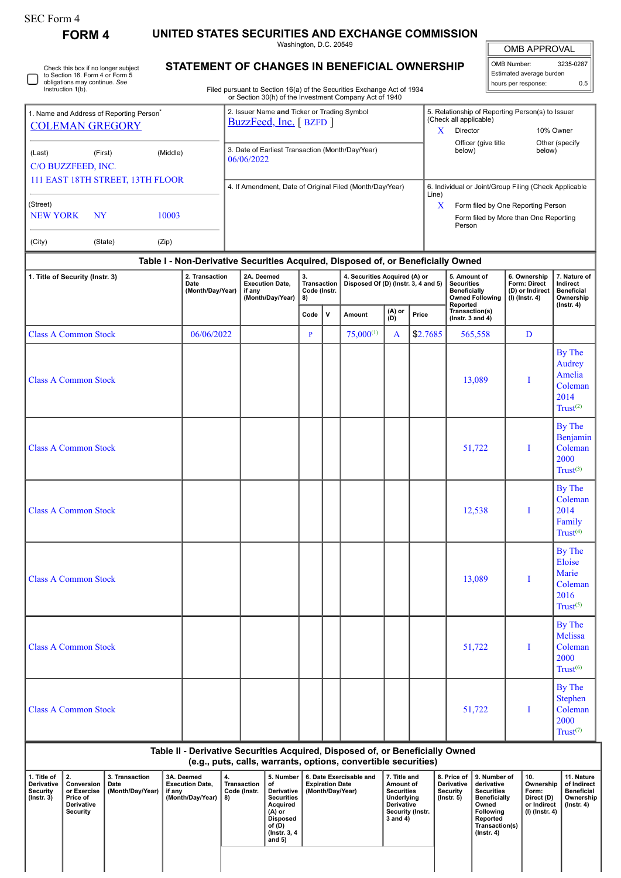## SEC Form 4

C

Check this box if no longer subject to Section 16. Form 4 or Form 5 obligations may continue. *See* Instruction 1(b).

**FORM 4 UNITED STATES SECURITIES AND EXCHANGE COMMISSION**

Washington, D.C. 20549 **STATEMENT OF CHANGES IN BENEFICIAL OWNERSHIP**

OMB APPROVAL OMB Number: 3235-0287

| hours per response:      | 0.5              |
|--------------------------|------------------|
| Estimated average burden |                  |
| $\parallel$ OND Number.  | <b>JZJU-UZO1</b> |

Filed pursuant to Section 16(a) of the Securities Exchange Act of 1934 or Section 30(h) of the Investment Company Act of 1940

| I. Name and Address of Reporting Person <sup>®</sup> |           |          | 2. Issuer Name and Ticker or Trading Symbol<br>BuzzFeed, Inc. [BZFD] | 5. Relationship of Reporting Person(s) to Issuer<br>(Check all applicable) |                                                 |                          |  |  |
|------------------------------------------------------|-----------|----------|----------------------------------------------------------------------|----------------------------------------------------------------------------|-------------------------------------------------|--------------------------|--|--|
| <b>COLEMAN GREGORY</b>                               |           |          |                                                                      | x                                                                          | Director                                        | 10% Owner                |  |  |
| (Last)<br>C/O BUZZFEED, INC.                         | (First)   | (Middle) | 3. Date of Earliest Transaction (Month/Day/Year)<br>06/06/2022       |                                                                            | Officer (give title<br>below)                   | Other (specify<br>below) |  |  |
| 111 EAST 18TH STREET, 13TH FLOOR                     |           |          | 4. If Amendment, Date of Original Filed (Month/Day/Year)             | 6. Individual or Joint/Group Filing (Check Applicable<br>Line)             |                                                 |                          |  |  |
| (Street)                                             |           |          |                                                                      | x                                                                          | Form filed by One Reporting Person              |                          |  |  |
| <b>NEW YORK</b>                                      | <b>NY</b> | 10003    |                                                                      |                                                                            | Form filed by More than One Reporting<br>Person |                          |  |  |
| (City)                                               | (State)   | (Zip)    |                                                                      |                                                                            |                                                 |                          |  |  |

## **Table I - Non-Derivative Securities Acquired, Disposed of, or Beneficially Owned**

| 1. Title of Security (Instr. 3)<br>2. Transaction<br>Date<br>(Month/Day/Year) |            | 2A. Deemed<br><b>Execution Date,</b><br>if any<br>(Month/Day/Year) | 3.<br><b>Transaction</b><br>Code (Instr.<br>8) |                                            | 4. Securities Acquired (A) or<br>Disposed Of (D) (Instr. 3, 4 and 5) |              |                                                | 5. Amount of<br><b>Securities</b><br><b>Beneficially</b><br><b>Owned Following</b> | 6. Ownership<br>Form: Direct<br>(D) or Indirect<br>$(I)$ (Instr. 4) | 7. Nature of<br>Indirect<br><b>Beneficial</b><br>Ownership            |
|-------------------------------------------------------------------------------|------------|--------------------------------------------------------------------|------------------------------------------------|--------------------------------------------|----------------------------------------------------------------------|--------------|------------------------------------------------|------------------------------------------------------------------------------------|---------------------------------------------------------------------|-----------------------------------------------------------------------|
|                                                                               |            |                                                                    | Code                                           | $(A)$ or<br>$(B)$<br>$\mathbf v$<br>Amount |                                                                      | Price        | Reported<br>Transaction(s)<br>(Instr. 3 and 4) |                                                                                    | $($ lnstr. 4 $)$                                                    |                                                                       |
| <b>Class A Common Stock</b>                                                   | 06/06/2022 |                                                                    | $\mathbf{P}$                                   |                                            | $75,000^{(1)}$                                                       | $\mathbf{A}$ | \$2.7685                                       | 565,558                                                                            | D                                                                   |                                                                       |
| <b>Class A Common Stock</b>                                                   |            |                                                                    |                                                |                                            |                                                                      |              |                                                | 13,089                                                                             | I                                                                   | By The<br>Audrey<br>Amelia<br>Coleman<br>2014<br>Trust <sup>(2)</sup> |
| <b>Class A Common Stock</b>                                                   |            |                                                                    |                                                |                                            |                                                                      |              |                                                | 51,722                                                                             | I                                                                   | By The<br>Benjamin<br>Coleman<br>2000<br>Trust <sup>(3)</sup>         |
| <b>Class A Common Stock</b>                                                   |            |                                                                    |                                                |                                            |                                                                      |              |                                                | 12,538                                                                             | I                                                                   | By The<br>Coleman<br>2014<br>Family<br>Trust <sup>(4)</sup>           |
| <b>Class A Common Stock</b>                                                   |            |                                                                    |                                                |                                            |                                                                      |              |                                                | 13,089                                                                             | I                                                                   | By The<br>Eloise<br>Marie<br>Coleman<br>2016<br>$Trust^{(5)}$         |
| <b>Class A Common Stock</b>                                                   |            |                                                                    |                                                |                                            |                                                                      |              |                                                | 51,722                                                                             | I                                                                   | By The<br>Melissa<br>Coleman<br>2000<br>Trust <sup>(6)</sup>          |
| <b>Class A Common Stock</b>                                                   |            |                                                                    |                                                |                                            |                                                                      |              |                                                | 51,722                                                                             | I                                                                   | By The<br>Stephen<br>Coleman<br>2000<br>Trust <sup>(7)</sup>          |

# **Table II - Derivative Securities Acquired, Disposed of, or Beneficially Owned**

**(e.g., puts, calls, warrants, options, convertible securities)**

| . Title of<br><b>Derivative</b><br>Security<br>$($ lnstr. 3 $)$ | 12.<br>Conversion<br>or Exercise<br>Price of<br>Derivative<br>Security | 3. Transaction<br>Date<br>(Month/Day/Year) | 3A. Deemed<br><b>Execution Date.</b><br>if anv<br>(Month/Day/Year) | 4.<br>Transaction<br>Code (Instr.<br>8) | 5. Number<br>οt<br>Derivative I<br><b>Securities</b><br>Acquired<br>(A) or<br>Disposed<br>of (D)<br>(Instr. 3, 4)<br>and 5) | 6. Date Exercisable and<br><b>Expiration Date</b><br>(Month/Dav/Year) | 7. Title and<br>Amount of<br><b>Securities</b><br>Underlying<br>Derivative<br>Security (Instr.<br>3 and 4) | 8. Price of<br><b>Derivative</b><br>Security<br>(Instr. 5) | 9. Number of<br>derivative<br><b>Securities</b><br><b>Beneficially</b><br>Owned<br><b>Following</b><br>Reported<br>Transaction(s)<br>$($ lnstr. 4 $)$ | 10.<br>Ownership<br>Form:<br>Direct (D)<br>or Indirect<br>(I) (Instr. 4) | 11. Nature<br>of Indirect<br>Beneficial<br>Ownership<br>(Instr. 4) |
|-----------------------------------------------------------------|------------------------------------------------------------------------|--------------------------------------------|--------------------------------------------------------------------|-----------------------------------------|-----------------------------------------------------------------------------------------------------------------------------|-----------------------------------------------------------------------|------------------------------------------------------------------------------------------------------------|------------------------------------------------------------|-------------------------------------------------------------------------------------------------------------------------------------------------------|--------------------------------------------------------------------------|--------------------------------------------------------------------|
|                                                                 |                                                                        |                                            |                                                                    |                                         |                                                                                                                             |                                                                       |                                                                                                            |                                                            |                                                                                                                                                       |                                                                          |                                                                    |